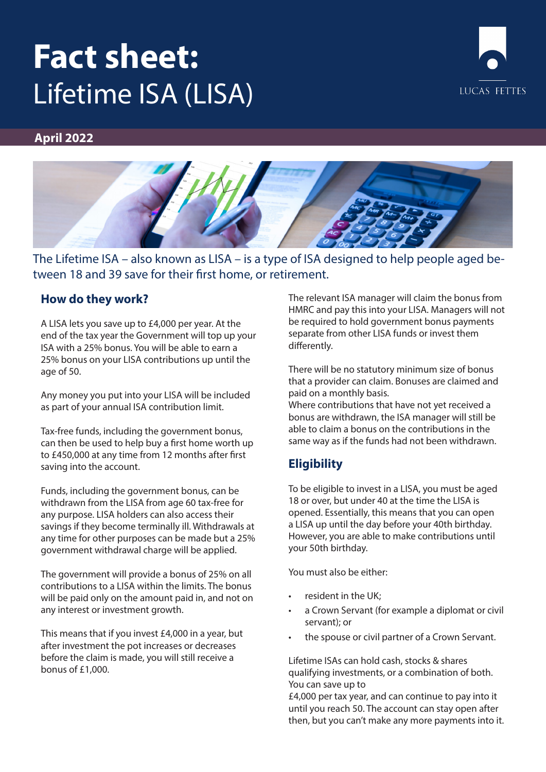# **Fact sheet:** Lifetime ISA (LISA)



#### **April 2022**



The Lifetime ISA – also known as LISA – is a type of ISA designed to help people aged between 18 and 39 save for their first home, or retirement.

#### **How do they work?**

A LISA lets you save up to £4,000 per year. At the end of the tax year the Government will top up your ISA with a 25% bonus. You will be able to earn a 25% bonus on your LISA contributions up until the age of 50.

Any money you put into your LISA will be included as part of your annual ISA contribution limit.

Tax-free funds, including the government bonus, can then be used to help buy a first home worth up to £450,000 at any time from 12 months after first saving into the account.

Funds, including the government bonus, can be withdrawn from the LISA from age 60 tax-free for any purpose. LISA holders can also access their savings if they become terminally ill. Withdrawals at any time for other purposes can be made but a 25% government withdrawal charge will be applied.

The government will provide a bonus of 25% on all contributions to a LISA within the limits. The bonus will be paid only on the amount paid in, and not on any interest or investment growth.

This means that if you invest £4,000 in a year, but after investment the pot increases or decreases before the claim is made, you will still receive a bonus of £1,000.

The relevant ISA manager will claim the bonus from HMRC and pay this into your LISA. Managers will not be required to hold government bonus payments separate from other LISA funds or invest them differently.

There will be no statutory minimum size of bonus that a provider can claim. Bonuses are claimed and paid on a monthly basis.

Where contributions that have not yet received a bonus are withdrawn, the ISA manager will still be able to claim a bonus on the contributions in the same way as if the funds had not been withdrawn.

# **Eligibility**

To be eligible to invest in a LISA, you must be aged 18 or over, but under 40 at the time the LISA is opened. Essentially, this means that you can open a LISA up until the day before your 40th birthday. However, you are able to make contributions until your 50th birthday.

You must also be either:

- resident in the UK;
- a Crown Servant (for example a diplomat or civil servant); or
- the spouse or civil partner of a Crown Servant.

Lifetime ISAs can hold cash, stocks & shares qualifying investments, or a combination of both. You can save up to

£4,000 per tax year, and can continue to pay into it until you reach 50. The account can stay open after then, but you can't make any more payments into it.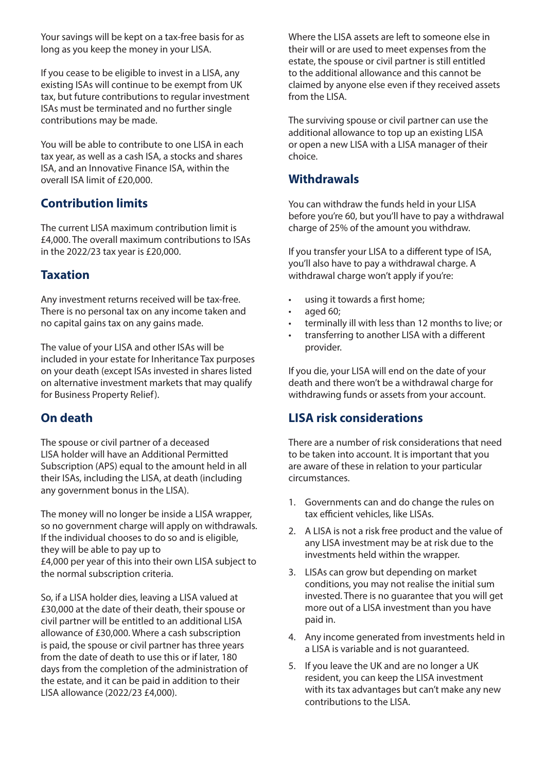Your savings will be kept on a tax-free basis for as long as you keep the money in your LISA.

If you cease to be eligible to invest in a LISA, any existing ISAs will continue to be exempt from UK tax, but future contributions to regular investment ISAs must be terminated and no further single contributions may be made.

You will be able to contribute to one LISA in each tax year, as well as a cash ISA, a stocks and shares ISA, and an Innovative Finance ISA, within the overall ISA limit of £20,000.

# **Contribution limits**

The current LISA maximum contribution limit is £4,000. The overall maximum contributions to ISAs in the 2022/23 tax year is £20,000.

# **Taxation**

Any investment returns received will be tax-free. There is no personal tax on any income taken and no capital gains tax on any gains made.

The value of your LISA and other ISAs will be included in your estate for Inheritance Tax purposes on your death (except ISAs invested in shares listed on alternative investment markets that may qualify for Business Property Relief).

# **On death**

The spouse or civil partner of a deceased LISA holder will have an Additional Permitted Subscription (APS) equal to the amount held in all their ISAs, including the LISA, at death (including any government bonus in the LISA).

The money will no longer be inside a LISA wrapper, so no government charge will apply on withdrawals. If the individual chooses to do so and is eligible, they will be able to pay up to £4,000 per year of this into their own LISA subject to the normal subscription criteria.

So, if a LISA holder dies, leaving a LISA valued at £30,000 at the date of their death, their spouse or civil partner will be entitled to an additional LISA allowance of £30,000. Where a cash subscription is paid, the spouse or civil partner has three years from the date of death to use this or if later, 180 days from the completion of the administration of the estate, and it can be paid in addition to their LISA allowance (2022/23 £4,000).

Where the LISA assets are left to someone else in their will or are used to meet expenses from the estate, the spouse or civil partner is still entitled to the additional allowance and this cannot be claimed by anyone else even if they received assets from the LISA.

The surviving spouse or civil partner can use the additional allowance to top up an existing LISA or open a new LISA with a LISA manager of their choice.

#### **Withdrawals**

You can withdraw the funds held in your LISA before you're 60, but you'll have to pay a withdrawal charge of 25% of the amount you withdraw.

If you transfer your LISA to a different type of ISA, you'll also have to pay a withdrawal charge. A withdrawal charge won't apply if you're:

- using it towards a first home;
- aged 60;
- terminally ill with less than 12 months to live; or
- transferring to another LISA with a different provider.

If you die, your LISA will end on the date of your death and there won't be a withdrawal charge for withdrawing funds or assets from your account.

# **LISA risk considerations**

There are a number of risk considerations that need to be taken into account. It is important that you are aware of these in relation to your particular circumstances.

- 1. Governments can and do change the rules on tax efficient vehicles, like LISAs.
- 2. A LISA is not a risk free product and the value of any LISA investment may be at risk due to the investments held within the wrapper.
- 3. LISAs can grow but depending on market conditions, you may not realise the initial sum invested. There is no guarantee that you will get more out of a LISA investment than you have paid in.
- 4. Any income generated from investments held in a LISA is variable and is not guaranteed.
- 5. If you leave the UK and are no longer a UK resident, you can keep the LISA investment with its tax advantages but can't make any new contributions to the LISA.